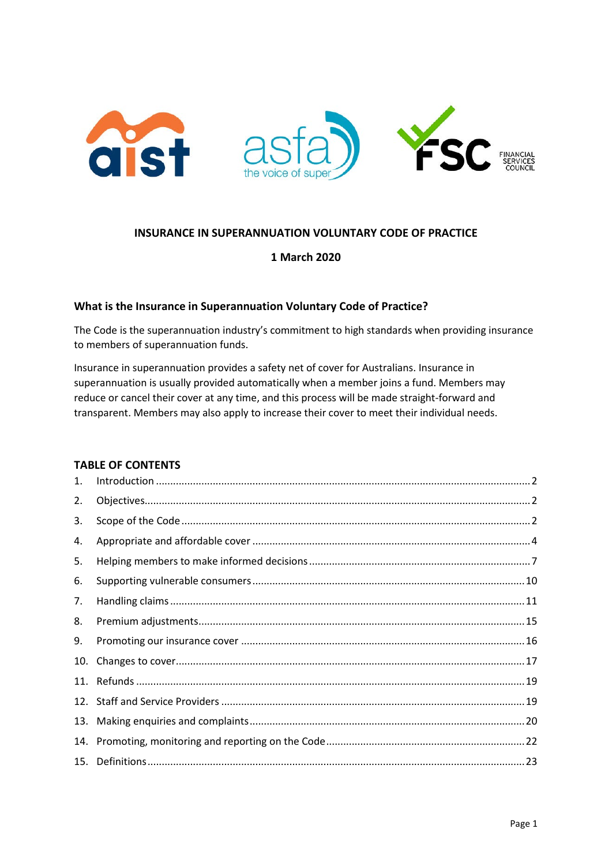

# **INSURANCE IN SUPERANNUATION VOLUNTARY CODE OF PRACTICE**

## **1 March 2020**

## **What is the Insurance in Superannuation Voluntary Code of Practice?**

The Code is the superannuation industry's commitment to high standards when providing insurance to members of superannuation funds.

Insurance in superannuation provides a safety net of cover for Australians. Insurance in superannuation is usually provided automatically when a member joins a fund. Members may reduce or cancel their cover at any time, and this process will be made straight-forward and transparent. Members may also apply to increase their cover to meet their individual needs.

# **TABLE OF CONTENTS**

| 1.  |  |
|-----|--|
| 2.  |  |
| 3.  |  |
| 4.  |  |
| 5.  |  |
| 6.  |  |
| 7.  |  |
| 8.  |  |
| 9.  |  |
| 10. |  |
|     |  |
|     |  |
| 13. |  |
| 14. |  |
|     |  |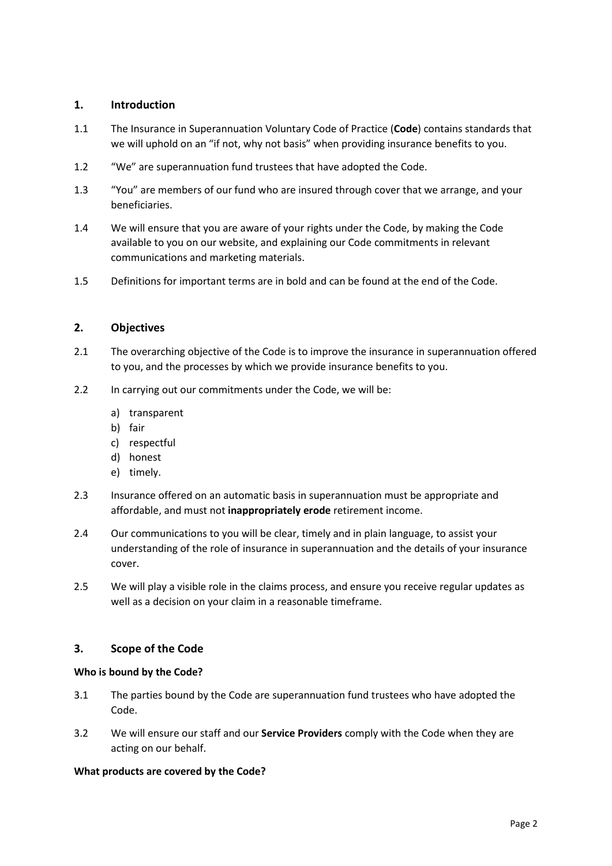# <span id="page-1-0"></span>**1. Introduction**

- 1.1 The Insurance in Superannuation Voluntary Code of Practice (**Code**) contains standards that we will uphold on an "if not, why not basis" when providing insurance benefits to you.
- 1.2 "We" are superannuation fund trustees that have adopted the Code.
- 1.3 "You" are members of our fund who are insured through cover that we arrange, and your beneficiaries.
- 1.4 We will ensure that you are aware of your rights under the Code, by making the Code available to you on our website, and explaining our Code commitments in relevant communications and marketing materials.
- 1.5 Definitions for important terms are in bold and can be found at the end of the Code.

# <span id="page-1-1"></span>**2. Objectives**

- 2.1 The overarching objective of the Code is to improve the insurance in superannuation offered to you, and the processes by which we provide insurance benefits to you.
- 2.2 In carrying out our commitments under the Code, we will be:
	- a) transparent
	- b) fair
	- c) respectful
	- d) honest
	- e) timely.
- 2.3 Insurance offered on an automatic basis in superannuation must be appropriate and affordable, and must not **inappropriately erode** retirement income.
- 2.4 Our communications to you will be clear, timely and in plain language, to assist your understanding of the role of insurance in superannuation and the details of your insurance cover.
- 2.5 We will play a visible role in the claims process, and ensure you receive regular updates as well as a decision on your claim in a reasonable timeframe.

# <span id="page-1-2"></span>**3. Scope of the Code**

### **Who is bound by the Code?**

- 3.1 The parties bound by the Code are superannuation fund trustees who have adopted the Code.
- 3.2 We will ensure our staff and our **Service Providers** comply with the Code when they are acting on our behalf.

### **What products are covered by the Code?**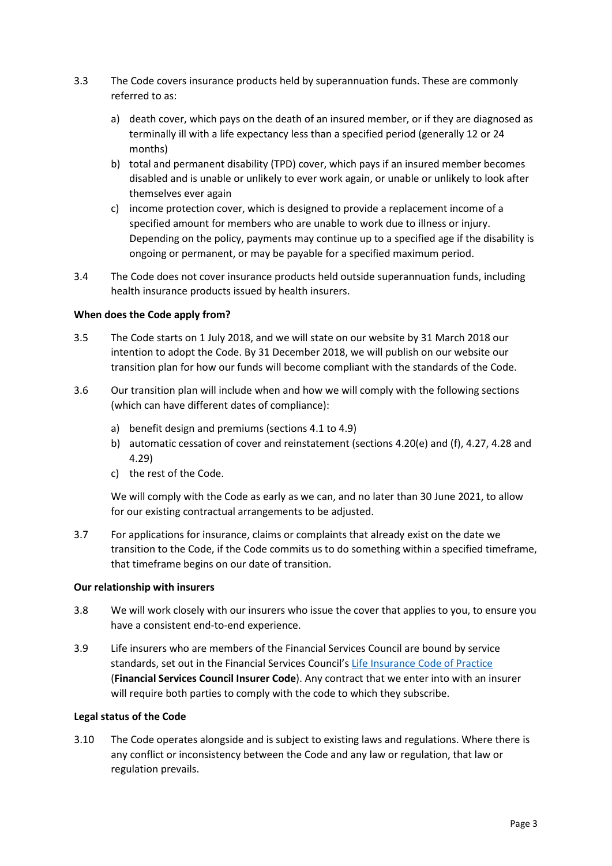- 3.3 The Code covers insurance products held by superannuation funds. These are commonly referred to as:
	- a) death cover, which pays on the death of an insured member, or if they are diagnosed as terminally ill with a life expectancy less than a specified period (generally 12 or 24 months)
	- b) total and permanent disability (TPD) cover, which pays if an insured member becomes disabled and is unable or unlikely to ever work again, or unable or unlikely to look after themselves ever again
	- c) income protection cover, which is designed to provide a replacement income of a specified amount for members who are unable to work due to illness or injury. Depending on the policy, payments may continue up to a specified age if the disability is ongoing or permanent, or may be payable for a specified maximum period.
- 3.4 The Code does not cover insurance products held outside superannuation funds, including health insurance products issued by health insurers.

## **When does the Code apply from?**

- 3.5 The Code starts on 1 July 2018, and we will state on our website by 31 March 2018 our intention to adopt the Code. By 31 December 2018, we will publish on our website our transition plan for how our funds will become compliant with the standards of the Code.
- 3.6 Our transition plan will include when and how we will comply with the following sections (which can have different dates of compliance):
	- a) benefit design and premiums (sections 4.1 to 4.9)
	- b) automatic cessation of cover and reinstatement (sections 4.20(e) and (f), 4.27, 4.28 and 4.29)
	- c) the rest of the Code.

We will comply with the Code as early as we can, and no later than 30 June 2021, to allow for our existing contractual arrangements to be adjusted.

3.7 For applications for insurance, claims or complaints that already exist on the date we transition to the Code, if the Code commits us to do something within a specified timeframe, that timeframe begins on our date of transition.

### **Our relationship with insurers**

- 3.8 We will work closely with our insurers who issue the cover that applies to you, to ensure you have a consistent end-to-end experience.
- 3.9 Life insurers who are members of the Financial Services Council are bound by service standards, set out in the Financial Services Council's [Life Insurance Code of Practice](https://www.fsc.org.au/policy/life-insurance/code-of-practice/life-code-of-practice) (**Financial Services Council Insurer Code**). Any contract that we enter into with an insurer will require both parties to comply with the code to which they subscribe.

### **Legal status of the Code**

3.10 The Code operates alongside and is subject to existing laws and regulations. Where there is any conflict or inconsistency between the Code and any law or regulation, that law or regulation prevails.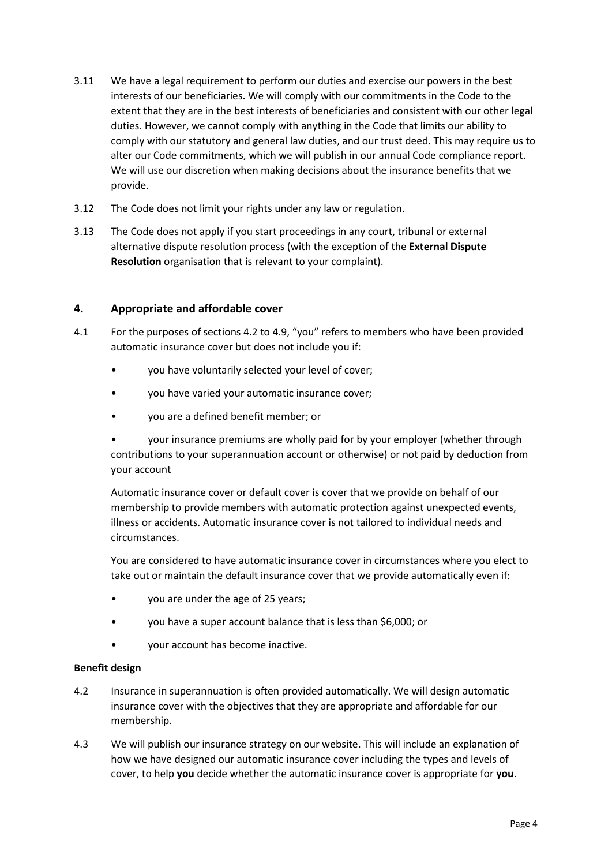- 3.11 We have a legal requirement to perform our duties and exercise our powers in the best interests of our beneficiaries. We will comply with our commitments in the Code to the extent that they are in the best interests of beneficiaries and consistent with our other legal duties. However, we cannot comply with anything in the Code that limits our ability to comply with our statutory and general law duties, and our trust deed. This may require us to alter our Code commitments, which we will publish in our annual Code compliance report. We will use our discretion when making decisions about the insurance benefits that we provide.
- 3.12 The Code does not limit your rights under any law or regulation.
- 3.13 The Code does not apply if you start proceedings in any court, tribunal or external alternative dispute resolution process (with the exception of the **External Dispute Resolution** organisation that is relevant to your complaint).

# <span id="page-3-0"></span>**4. Appropriate and affordable cover**

- 4.1 For the purposes of sections 4.2 to 4.9, "you" refers to members who have been provided automatic insurance cover but does not include you if:
	- you have voluntarily selected your level of cover;
	- you have varied your automatic insurance cover;
	- you are a defined benefit member; or

• your insurance premiums are wholly paid for by your employer (whether through contributions to your superannuation account or otherwise) or not paid by deduction from your account

Automatic insurance cover or default cover is cover that we provide on behalf of our membership to provide members with automatic protection against unexpected events, illness or accidents. Automatic insurance cover is not tailored to individual needs and circumstances.

You are considered to have automatic insurance cover in circumstances where you elect to take out or maintain the default insurance cover that we provide automatically even if:

- you are under the age of 25 years;
- you have a super account balance that is less than \$6,000; or
- your account has become inactive.

### **Benefit design**

- 4.2 Insurance in superannuation is often provided automatically. We will design automatic insurance cover with the objectives that they are appropriate and affordable for our membership.
- 4.3 We will publish our insurance strategy on our website. This will include an explanation of how we have designed our automatic insurance cover including the types and levels of cover, to help **you** decide whether the automatic insurance cover is appropriate for **you**.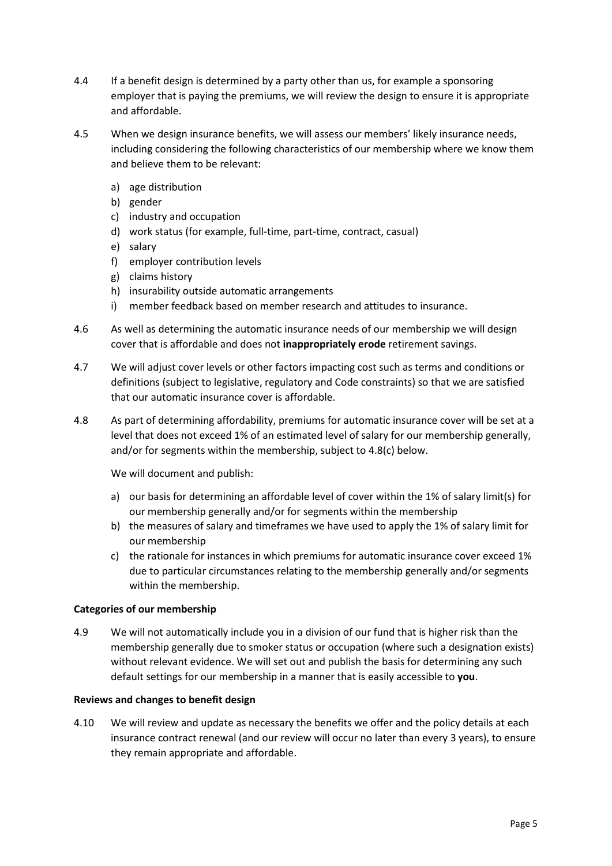- 4.4 If a benefit design is determined by a party other than us, for example a sponsoring employer that is paying the premiums, we will review the design to ensure it is appropriate and affordable.
- 4.5 When we design insurance benefits, we will assess our members' likely insurance needs, including considering the following characteristics of our membership where we know them and believe them to be relevant:
	- a) age distribution
	- b) gender
	- c) industry and occupation
	- d) work status (for example, full-time, part-time, contract, casual)
	- e) salary
	- f) employer contribution levels
	- g) claims history
	- h) insurability outside automatic arrangements
	- i) member feedback based on member research and attitudes to insurance.
- 4.6 As well as determining the automatic insurance needs of our membership we will design cover that is affordable and does not **inappropriately erode** retirement savings.
- 4.7 We will adjust cover levels or other factors impacting cost such as terms and conditions or definitions (subject to legislative, regulatory and Code constraints) so that we are satisfied that our automatic insurance cover is affordable.
- 4.8 As part of determining affordability, premiums for automatic insurance cover will be set at a level that does not exceed 1% of an estimated level of salary for our membership generally, and/or for segments within the membership, subject to 4.8(c) below.

We will document and publish:

- a) our basis for determining an affordable level of cover within the 1% of salary limit(s) for our membership generally and/or for segments within the membership
- b) the measures of salary and timeframes we have used to apply the 1% of salary limit for our membership
- c) the rationale for instances in which premiums for automatic insurance cover exceed 1% due to particular circumstances relating to the membership generally and/or segments within the membership.

### **Categories of our membership**

4.9 We will not automatically include you in a division of our fund that is higher risk than the membership generally due to smoker status or occupation (where such a designation exists) without relevant evidence. We will set out and publish the basis for determining any such default settings for our membership in a manner that is easily accessible to **you**.

### **Reviews and changes to benefit design**

4.10 We will review and update as necessary the benefits we offer and the policy details at each insurance contract renewal (and our review will occur no later than every 3 years), to ensure they remain appropriate and affordable.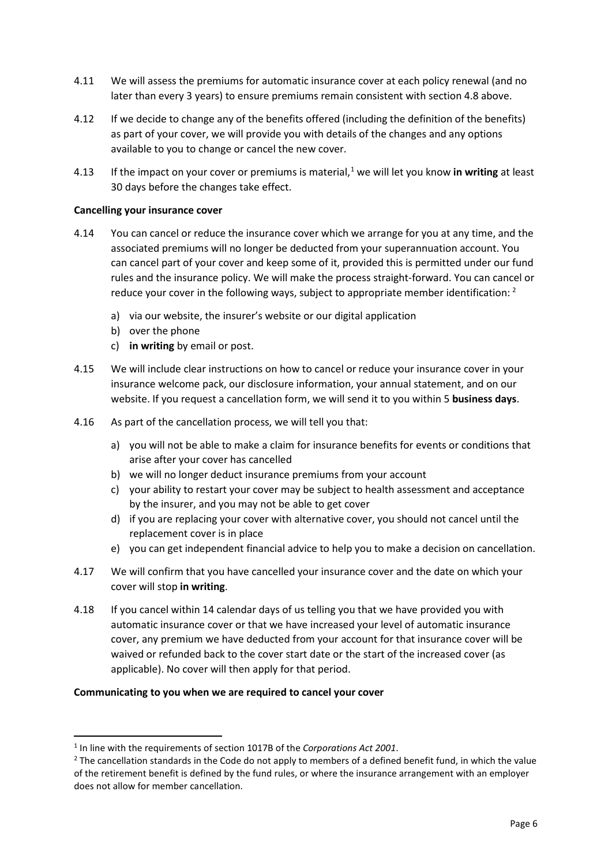- 4.11 We will assess the premiums for automatic insurance cover at each policy renewal (and no later than every 3 years) to ensure premiums remain consistent with section 4.8 above.
- 4.12 If we decide to change any of the benefits offered (including the definition of the benefits) as part of your cover, we will provide you with details of the changes and any options available to you to change or cancel the new cover.
- 4.13 If the impact on your cover or premiums is material,[1](#page-5-0) we will let you know **in writing** at least 30 days before the changes take effect.

### **Cancelling your insurance cover**

- 4.14 You can cancel or reduce the insurance cover which we arrange for you at any time, and the associated premiums will no longer be deducted from your superannuation account. You can cancel part of your cover and keep some of it, provided this is permitted under our fund rules and the insurance policy. We will make the process straight-forward. You can cancel or reduce your cover in the following ways, subject to appropriate member identification:  $2$ 
	- a) via our website, the insurer's website or our digital application
	- b) over the phone
	- c) **in writing** by email or post.
- 4.15 We will include clear instructions on how to cancel or reduce your insurance cover in your insurance welcome pack, our disclosure information, your annual statement, and on our website. If you request a cancellation form, we will send it to you within 5 **business days**.
- 4.16 As part of the cancellation process, we will tell you that:
	- a) you will not be able to make a claim for insurance benefits for events or conditions that arise after your cover has cancelled
	- b) we will no longer deduct insurance premiums from your account
	- c) your ability to restart your cover may be subject to health assessment and acceptance by the insurer, and you may not be able to get cover
	- d) if you are replacing your cover with alternative cover, you should not cancel until the replacement cover is in place
	- e) you can get independent financial advice to help you to make a decision on cancellation.
- 4.17 We will confirm that you have cancelled your insurance cover and the date on which your cover will stop **in writing**.
- 4.18 If you cancel within 14 calendar days of us telling you that we have provided you with automatic insurance cover or that we have increased your level of automatic insurance cover, any premium we have deducted from your account for that insurance cover will be waived or refunded back to the cover start date or the start of the increased cover (as applicable). No cover will then apply for that period.

#### **Communicating to you when we are required to cancel your cover**

<span id="page-5-0"></span><sup>1</sup> In line with the requirements of section 1017B of the *Corporations Act 2001*.

<span id="page-5-1"></span><sup>&</sup>lt;sup>2</sup> The cancellation standards in the Code do not apply to members of a defined benefit fund, in which the value of the retirement benefit is defined by the fund rules, or where the insurance arrangement with an employer does not allow for member cancellation.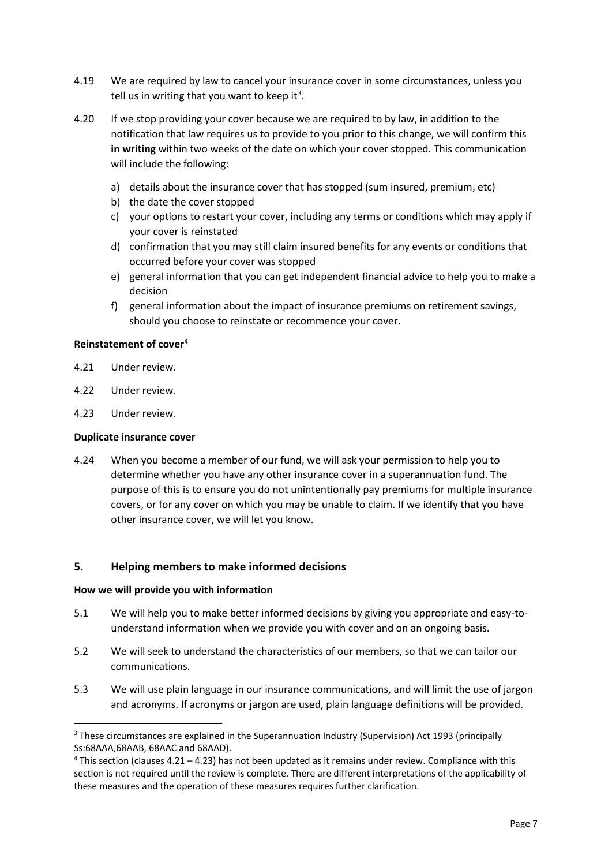- 4.19 We are required by law to cancel your insurance cover in some circumstances, unless you tell us in writing that you want to keep it<sup>[3](#page-6-1)</sup>.
- 4.20 If we stop providing your cover because we are required to by law, in addition to the notification that law requires us to provide to you prior to this change, we will confirm this **in writing** within two weeks of the date on which your cover stopped. This communication will include the following:
	- a) details about the insurance cover that has stopped (sum insured, premium, etc)
	- b) the date the cover stopped
	- c) your options to restart your cover, including any terms or conditions which may apply if your cover is reinstated
	- d) confirmation that you may still claim insured benefits for any events or conditions that occurred before your cover was stopped
	- e) general information that you can get independent financial advice to help you to make a decision
	- f) general information about the impact of insurance premiums on retirement savings, should you choose to reinstate or recommence your cover.

# **Reinstatement of cover[4](#page-6-2)**

- 4.21 Under review.
- 4.22 Under review.
- 4.23 Under review.

#### **Duplicate insurance cover**

4.24 When you become a member of our fund, we will ask your permission to help you to determine whether you have any other insurance cover in a superannuation fund. The purpose of this is to ensure you do not unintentionally pay premiums for multiple insurance covers, or for any cover on which you may be unable to claim. If we identify that you have other insurance cover, we will let you know.

### <span id="page-6-0"></span>**5. Helping members to make informed decisions**

#### **How we will provide you with information**

- 5.1 We will help you to make better informed decisions by giving you appropriate and easy-tounderstand information when we provide you with cover and on an ongoing basis.
- 5.2 We will seek to understand the characteristics of our members, so that we can tailor our communications.
- 5.3 We will use plain language in our insurance communications, and will limit the use of jargon and acronyms. If acronyms or jargon are used, plain language definitions will be provided.

<span id="page-6-1"></span><sup>&</sup>lt;sup>3</sup> These circumstances are explained in the Superannuation Industry (Supervision) Act 1993 (principally Ss:68AAA,68AAB, 68AAC and 68AAD).

<span id="page-6-2"></span> $4$  This section (clauses 4.21 – 4.23) has not been updated as it remains under review. Compliance with this section is not required until the review is complete. There are different interpretations of the applicability of these measures and the operation of these measures requires further clarification.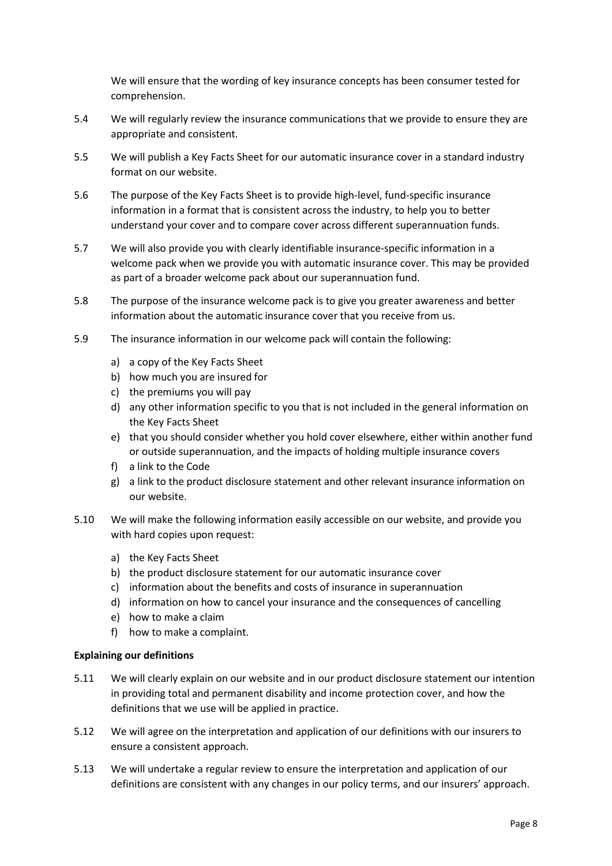We will ensure that the wording of key insurance concepts has been consumer tested for comprehension.

- 5.4 We will regularly review the insurance communications that we provide to ensure they are appropriate and consistent.
- 5.5 We will publish a Key Facts Sheet for our automatic insurance cover in a standard industry format on our website.
- 5.6 The purpose of the Key Facts Sheet is to provide high-level, fund-specific insurance information in a format that is consistent across the industry, to help you to better understand your cover and to compare cover across different superannuation funds.
- 5.7 We will also provide you with clearly identifiable insurance-specific information in a welcome pack when we provide you with automatic insurance cover. This may be provided as part of a broader welcome pack about our superannuation fund.
- 5.8 The purpose of the insurance welcome pack is to give you greater awareness and better information about the automatic insurance cover that you receive from us.
- 5.9 The insurance information in our welcome pack will contain the following:
	- a) a copy of the Key Facts Sheet
	- b) how much you are insured for
	- c) the premiums you will pay
	- d) any other information specific to you that is not included in the general information on the Key Facts Sheet
	- e) that you should consider whether you hold cover elsewhere, either within another fund or outside superannuation, and the impacts of holding multiple insurance covers
	- f) a link to the Code
	- g) a link to the product disclosure statement and other relevant insurance information on our website.
- 5.10 We will make the following information easily accessible on our website, and provide you with hard copies upon request:
	- a) the Key Facts Sheet
	- b) the product disclosure statement for our automatic insurance cover
	- c) information about the benefits and costs of insurance in superannuation
	- d) information on how to cancel your insurance and the consequences of cancelling
	- e) how to make a claim
	- f) how to make a complaint.

### **Explaining our definitions**

- 5.11 We will clearly explain on our website and in our product disclosure statement our intention in providing total and permanent disability and income protection cover, and how the definitions that we use will be applied in practice.
- 5.12 We will agree on the interpretation and application of our definitions with our insurers to ensure a consistent approach.
- 5.13 We will undertake a regular review to ensure the interpretation and application of our definitions are consistent with any changes in our policy terms, and our insurers' approach.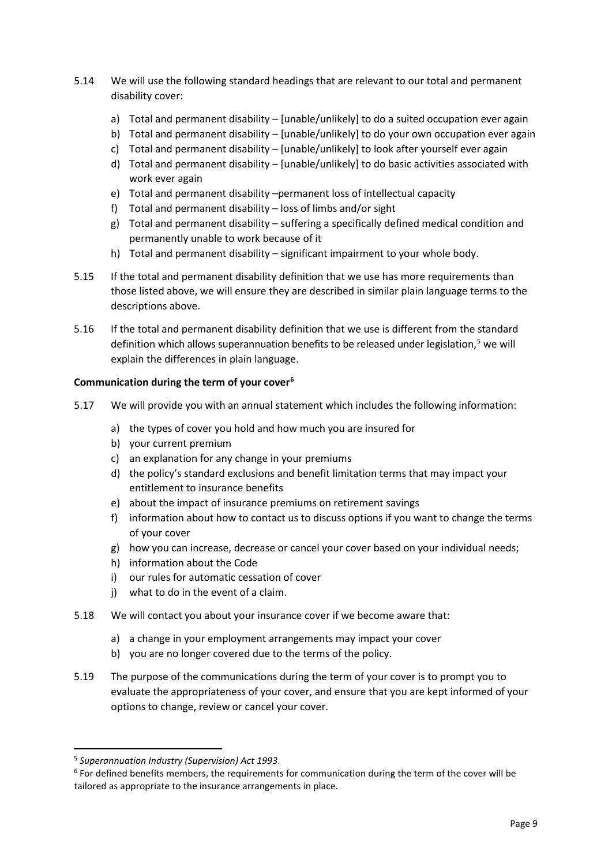- 5.14 We will use the following standard headings that are relevant to our total and permanent disability cover:
	- a) Total and permanent disability [unable/unlikely] to do a suited occupation ever again
	- b) Total and permanent disability [unable/unlikely] to do your own occupation ever again
	- c) Total and permanent disability [unable/unlikely] to look after yourself ever again
	- d) Total and permanent disability [unable/unlikely] to do basic activities associated with work ever again
	- e) Total and permanent disability –permanent loss of intellectual capacity
	- f) Total and permanent disability loss of limbs and/or sight
	- g) Total and permanent disability suffering a specifically defined medical condition and permanently unable to work because of it
	- h) Total and permanent disability significant impairment to your whole body.
- 5.15 If the total and permanent disability definition that we use has more requirements than those listed above, we will ensure they are described in similar plain language terms to the descriptions above.
- 5.16 If the total and permanent disability definition that we use is different from the standard definition which allows superannuation benefits to be released under legislation,<sup>[5](#page-8-0)</sup> we will explain the differences in plain language.

### **Communication during the term of your cove[r6](#page-8-1)**

- 5.17 We will provide you with an annual statement which includes the following information:
	- a) the types of cover you hold and how much you are insured for
	- b) your current premium
	- c) an explanation for any change in your premiums
	- d) the policy's standard exclusions and benefit limitation terms that may impact your entitlement to insurance benefits
	- e) about the impact of insurance premiums on retirement savings
	- f) information about how to contact us to discuss options if you want to change the terms of your cover
	- g) how you can increase, decrease or cancel your cover based on your individual needs;
	- h) information about the Code
	- i) our rules for automatic cessation of cover
	- j) what to do in the event of a claim.
- 5.18 We will contact you about your insurance cover if we become aware that:
	- a) a change in your employment arrangements may impact your cover
	- b) you are no longer covered due to the terms of the policy.
- 5.19 The purpose of the communications during the term of your cover is to prompt you to evaluate the appropriateness of your cover, and ensure that you are kept informed of your options to change, review or cancel your cover.

<span id="page-8-0"></span><sup>5</sup> *Superannuation Industry (Supervision) Act 1993*.

<span id="page-8-1"></span><sup>&</sup>lt;sup>6</sup> For defined benefits members, the requirements for communication during the term of the cover will be tailored as appropriate to the insurance arrangements in place.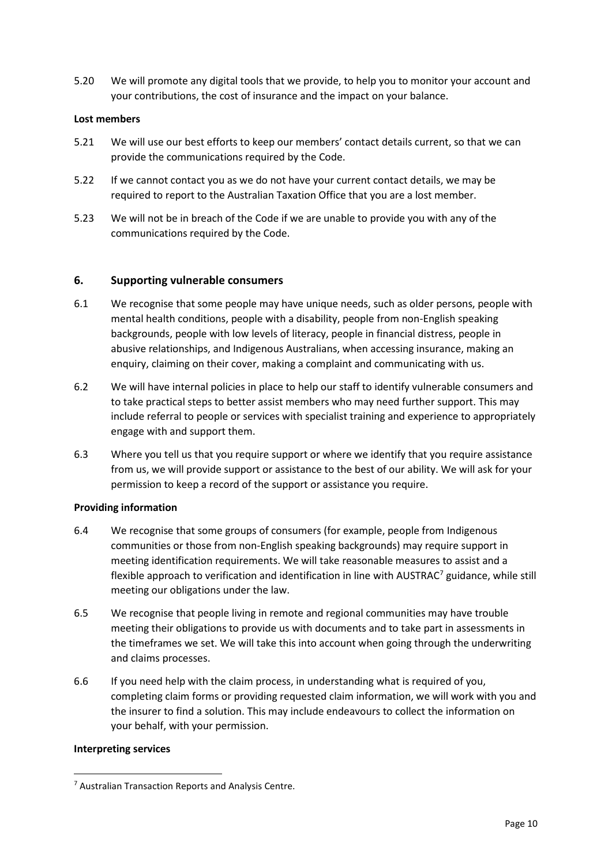5.20 We will promote any digital tools that we provide, to help you to monitor your account and your contributions, the cost of insurance and the impact on your balance.

#### **Lost members**

- 5.21 We will use our best efforts to keep our members' contact details current, so that we can provide the communications required by the Code.
- 5.22 If we cannot contact you as we do not have your current contact details, we may be required to report to the Australian Taxation Office that you are a lost member.
- 5.23 We will not be in breach of the Code if we are unable to provide you with any of the communications required by the Code.

### <span id="page-9-0"></span>**6. Supporting vulnerable consumers**

- 6.1 We recognise that some people may have unique needs, such as older persons, people with mental health conditions, people with a disability, people from non-English speaking backgrounds, people with low levels of literacy, people in financial distress, people in abusive relationships, and Indigenous Australians, when accessing insurance, making an enquiry, claiming on their cover, making a complaint and communicating with us.
- 6.2 We will have internal policies in place to help our staff to identify vulnerable consumers and to take practical steps to better assist members who may need further support. This may include referral to people or services with specialist training and experience to appropriately engage with and support them.
- 6.3 Where you tell us that you require support or where we identify that you require assistance from us, we will provide support or assistance to the best of our ability. We will ask for your permission to keep a record of the support or assistance you require.

#### **Providing information**

- 6.4 We recognise that some groups of consumers (for example, people from Indigenous communities or those from non-English speaking backgrounds) may require support in meeting identification requirements. We will take reasonable measures to assist and a flexible approach to verification and identification in line with AUSTRAC $^7$  $^7$  guidance, while still meeting our obligations under the law.
- 6.5 We recognise that people living in remote and regional communities may have trouble meeting their obligations to provide us with documents and to take part in assessments in the timeframes we set. We will take this into account when going through the underwriting and claims processes.
- 6.6 If you need help with the claim process, in understanding what is required of you, completing claim forms or providing requested claim information, we will work with you and the insurer to find a solution. This may include endeavours to collect the information on your behalf, with your permission.

#### **Interpreting services**

<span id="page-9-1"></span><sup>7</sup> Australian Transaction Reports and Analysis Centre.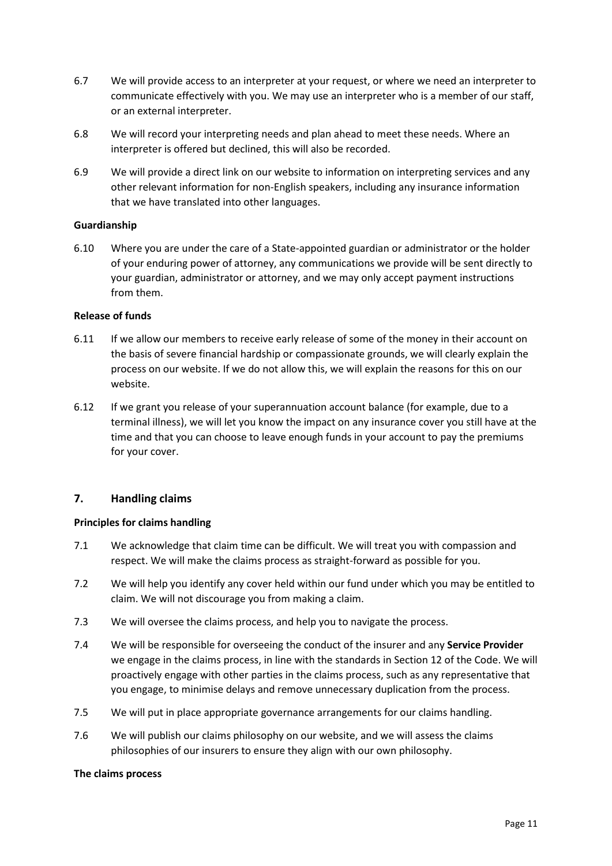- 6.7 We will provide access to an interpreter at your request, or where we need an interpreter to communicate effectively with you. We may use an interpreter who is a member of our staff, or an external interpreter.
- 6.8 We will record your interpreting needs and plan ahead to meet these needs. Where an interpreter is offered but declined, this will also be recorded.
- 6.9 We will provide a direct link on our website to information on interpreting services and any other relevant information for non-English speakers, including any insurance information that we have translated into other languages.

### **Guardianship**

6.10 Where you are under the care of a State-appointed guardian or administrator or the holder of your enduring power of attorney, any communications we provide will be sent directly to your guardian, administrator or attorney, and we may only accept payment instructions from them.

## **Release of funds**

- 6.11 If we allow our members to receive early release of some of the money in their account on the basis of severe financial hardship or compassionate grounds, we will clearly explain the process on our website. If we do not allow this, we will explain the reasons for this on our website.
- 6.12 If we grant you release of your superannuation account balance (for example, due to a terminal illness), we will let you know the impact on any insurance cover you still have at the time and that you can choose to leave enough funds in your account to pay the premiums for your cover.

# <span id="page-10-0"></span>**7. Handling claims**

### **Principles for claims handling**

- 7.1 We acknowledge that claim time can be difficult. We will treat you with compassion and respect. We will make the claims process as straight-forward as possible for you.
- 7.2 We will help you identify any cover held within our fund under which you may be entitled to claim. We will not discourage you from making a claim.
- 7.3 We will oversee the claims process, and help you to navigate the process.
- 7.4 We will be responsible for overseeing the conduct of the insurer and any **Service Provider** we engage in the claims process, in line with the standards in Section 12 of the Code. We will proactively engage with other parties in the claims process, such as any representative that you engage, to minimise delays and remove unnecessary duplication from the process.
- 7.5 We will put in place appropriate governance arrangements for our claims handling.
- 7.6 We will publish our claims philosophy on our website, and we will assess the claims philosophies of our insurers to ensure they align with our own philosophy.

### **The claims process**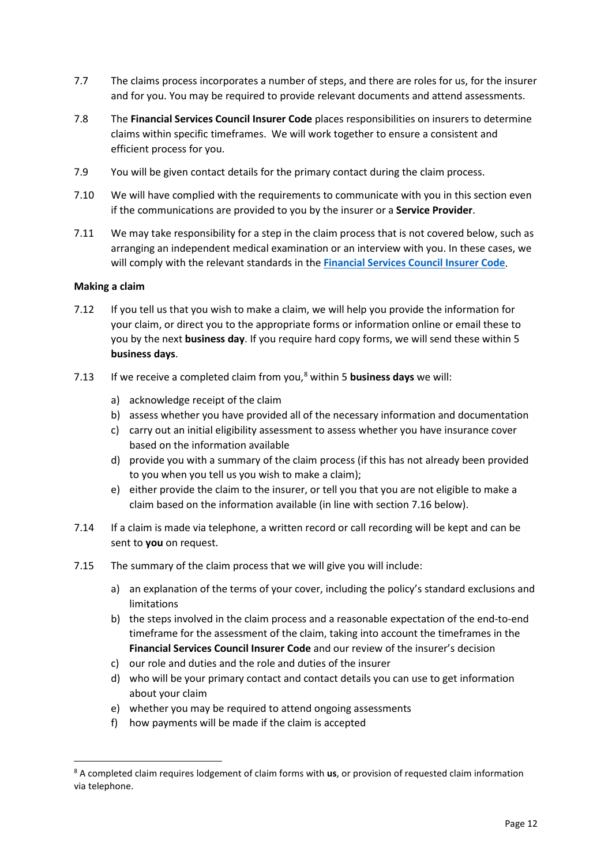- 7.7 The claims process incorporates a number of steps, and there are roles for us, for the insurer and for you. You may be required to provide relevant documents and attend assessments.
- 7.8 The **Financial Services Council Insurer Code** places responsibilities on insurers to determine claims within specific timeframes. We will work together to ensure a consistent and efficient process for you.
- 7.9 You will be given contact details for the primary contact during the claim process.
- 7.10 We will have complied with the requirements to communicate with you in this section even if the communications are provided to you by the insurer or a **Service Provider**.
- 7.11 We may take responsibility for a step in the claim process that is not covered below, such as arranging an independent medical examination or an interview with you. In these cases, we will comply with the relevant standards in the **[Financial Services Council](https://www.fsc.org.au/policy/life-insurance/code-of-practice/life-code-of-practice) Insurer Code**.

## **Making a claim**

- 7.12 If you tell us that you wish to make a claim, we will help you provide the information for your claim, or direct you to the appropriate forms or information online or email these to you by the next **business day**. If you require hard copy forms, we will send these within 5 **business days**.
- 7.13 If we receive a completed claim from you, [8](#page-11-0) within 5 **business days** we will:
	- a) acknowledge receipt of the claim
	- b) assess whether you have provided all of the necessary information and documentation
	- c) carry out an initial eligibility assessment to assess whether you have insurance cover based on the information available
	- d) provide you with a summary of the claim process (if this has not already been provided to you when you tell us you wish to make a claim);
	- e) either provide the claim to the insurer, or tell you that you are not eligible to make a claim based on the information available (in line with section 7.16 below).
- 7.14 If a claim is made via telephone, a written record or call recording will be kept and can be sent to **you** on request.
- 7.15 The summary of the claim process that we will give you will include:
	- a) an explanation of the terms of your cover, including the policy's standard exclusions and limitations
	- b) the steps involved in the claim process and a reasonable expectation of the end-to-end timeframe for the assessment of the claim, taking into account the timeframes in the **Financial Services Council Insurer Code** and our review of the insurer's decision
	- c) our role and duties and the role and duties of the insurer
	- d) who will be your primary contact and contact details you can use to get information about your claim
	- e) whether you may be required to attend ongoing assessments
	- f) how payments will be made if the claim is accepted

<span id="page-11-0"></span><sup>8</sup> A completed claim requires lodgement of claim forms with **us**, or provision of requested claim information via telephone.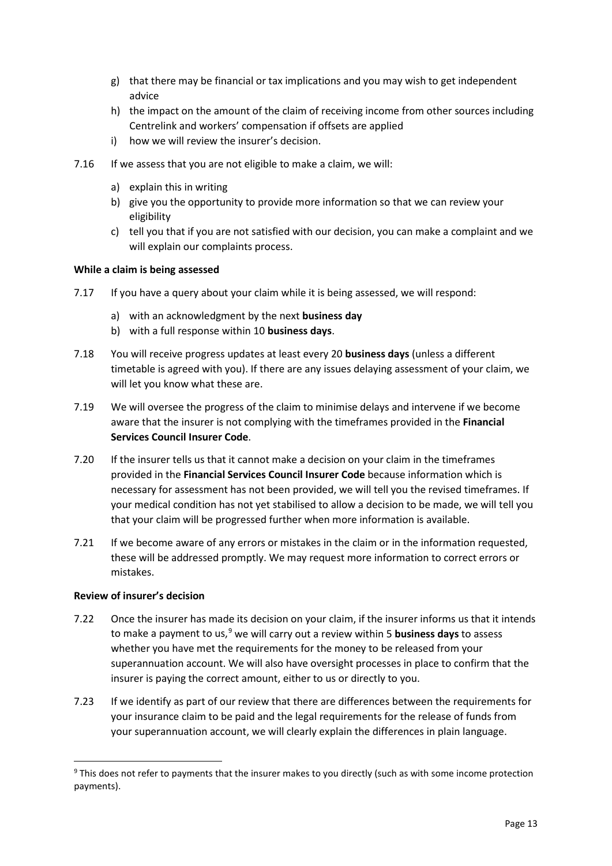- g) that there may be financial or tax implications and you may wish to get independent advice
- h) the impact on the amount of the claim of receiving income from other sources including Centrelink and workers' compensation if offsets are applied
- i) how we will review the insurer's decision.
- 7.16 If we assess that you are not eligible to make a claim, we will:
	- a) explain this in writing
	- b) give you the opportunity to provide more information so that we can review your eligibility
	- c) tell you that if you are not satisfied with our decision, you can make a complaint and we will explain our complaints process.

### **While a claim is being assessed**

- 7.17 If you have a query about your claim while it is being assessed, we will respond:
	- a) with an acknowledgment by the next **business day**
	- b) with a full response within 10 **business days**.
- 7.18 You will receive progress updates at least every 20 **business days** (unless a different timetable is agreed with you). If there are any issues delaying assessment of your claim, we will let you know what these are.
- 7.19 We will oversee the progress of the claim to minimise delays and intervene if we become aware that the insurer is not complying with the timeframes provided in the **Financial Services Council Insurer Code**.
- 7.20 If the insurer tells us that it cannot make a decision on your claim in the timeframes provided in the **Financial Services Council Insurer Code** because information which is necessary for assessment has not been provided, we will tell you the revised timeframes. If your medical condition has not yet stabilised to allow a decision to be made, we will tell you that your claim will be progressed further when more information is available.
- 7.21 If we become aware of any errors or mistakes in the claim or in the information requested, these will be addressed promptly. We may request more information to correct errors or mistakes.

### **Review of insurer's decision**

- 7.22 Once the insurer has made its decision on your claim, if the insurer informs us that it intends to make a payment to us,<sup>[9](#page-12-0)</sup> we will carry out a review within 5 **business days** to assess whether you have met the requirements for the money to be released from your superannuation account. We will also have oversight processes in place to confirm that the insurer is paying the correct amount, either to us or directly to you.
- 7.23 If we identify as part of our review that there are differences between the requirements for your insurance claim to be paid and the legal requirements for the release of funds from your superannuation account, we will clearly explain the differences in plain language.

<span id="page-12-0"></span><sup>&</sup>lt;sup>9</sup> This does not refer to payments that the insurer makes to you directly (such as with some income protection payments).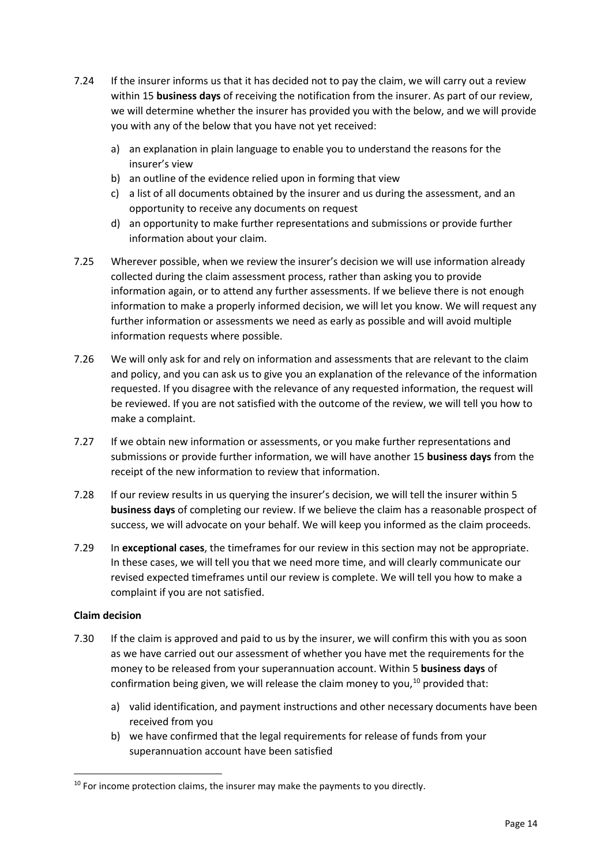- 7.24 If the insurer informs us that it has decided not to pay the claim, we will carry out a review within 15 **business days** of receiving the notification from the insurer. As part of our review, we will determine whether the insurer has provided you with the below, and we will provide you with any of the below that you have not yet received:
	- a) an explanation in plain language to enable you to understand the reasons for the insurer's view
	- b) an outline of the evidence relied upon in forming that view
	- c) a list of all documents obtained by the insurer and us during the assessment, and an opportunity to receive any documents on request
	- d) an opportunity to make further representations and submissions or provide further information about your claim.
- 7.25 Wherever possible, when we review the insurer's decision we will use information already collected during the claim assessment process, rather than asking you to provide information again, or to attend any further assessments. If we believe there is not enough information to make a properly informed decision, we will let you know. We will request any further information or assessments we need as early as possible and will avoid multiple information requests where possible.
- 7.26 We will only ask for and rely on information and assessments that are relevant to the claim and policy, and you can ask us to give you an explanation of the relevance of the information requested. If you disagree with the relevance of any requested information, the request will be reviewed. If you are not satisfied with the outcome of the review, we will tell you how to make a complaint.
- 7.27 If we obtain new information or assessments, or you make further representations and submissions or provide further information, we will have another 15 **business days** from the receipt of the new information to review that information.
- 7.28 If our review results in us querying the insurer's decision, we will tell the insurer within 5 **business days** of completing our review. If we believe the claim has a reasonable prospect of success, we will advocate on your behalf. We will keep you informed as the claim proceeds.
- 7.29 In **exceptional cases**, the timeframes for our review in this section may not be appropriate. In these cases, we will tell you that we need more time, and will clearly communicate our revised expected timeframes until our review is complete. We will tell you how to make a complaint if you are not satisfied.

# **Claim decision**

- 7.30 If the claim is approved and paid to us by the insurer, we will confirm this with you as soon as we have carried out our assessment of whether you have met the requirements for the money to be released from your superannuation account. Within 5 **business days** of confirmation being given, we will release the claim money to you,<sup>[10](#page-13-0)</sup> provided that:
	- a) valid identification, and payment instructions and other necessary documents have been received from you
	- b) we have confirmed that the legal requirements for release of funds from your superannuation account have been satisfied

<span id="page-13-0"></span> $10$  For income protection claims, the insurer may make the payments to you directly.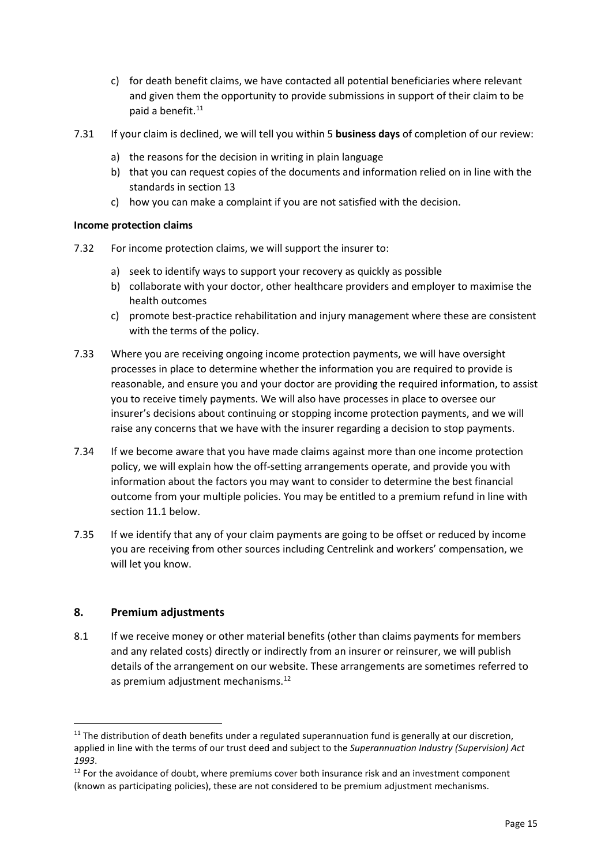- c) for death benefit claims, we have contacted all potential beneficiaries where relevant and given them the opportunity to provide submissions in support of their claim to be paid a benefit.<sup>[11](#page-14-1)</sup>
- 7.31 If your claim is declined, we will tell you within 5 **business days** of completion of our review:
	- a) the reasons for the decision in writing in plain language
	- b) that you can request copies of the documents and information relied on in line with the standards in section 13
	- c) how you can make a complaint if you are not satisfied with the decision.

### **Income protection claims**

- 7.32 For income protection claims, we will support the insurer to:
	- a) seek to identify ways to support your recovery as quickly as possible
	- b) collaborate with your doctor, other healthcare providers and employer to maximise the health outcomes
	- c) promote best-practice rehabilitation and injury management where these are consistent with the terms of the policy.
- 7.33 Where you are receiving ongoing income protection payments, we will have oversight processes in place to determine whether the information you are required to provide is reasonable, and ensure you and your doctor are providing the required information, to assist you to receive timely payments. We will also have processes in place to oversee our insurer's decisions about continuing or stopping income protection payments, and we will raise any concerns that we have with the insurer regarding a decision to stop payments.
- 7.34 If we become aware that you have made claims against more than one income protection policy, we will explain how the off-setting arrangements operate, and provide you with information about the factors you may want to consider to determine the best financial outcome from your multiple policies. You may be entitled to a premium refund in line with section 11.1 below.
- 7.35 If we identify that any of your claim payments are going to be offset or reduced by income you are receiving from other sources including Centrelink and workers' compensation, we will let you know.

# <span id="page-14-0"></span>**8. Premium adjustments**

8.1 If we receive money or other material benefits (other than claims payments for members and any related costs) directly or indirectly from an insurer or reinsurer, we will publish details of the arrangement on our website. These arrangements are sometimes referred to as premium adjustment mechanisms.<sup>[12](#page-14-2)</sup>

<span id="page-14-1"></span> $11$  The distribution of death benefits under a regulated superannuation fund is generally at our discretion, applied in line with the terms of our trust deed and subject to the *Superannuation Industry (Supervision) Act*  1993.<br><sup>12</sup> For the avoidance of doubt, where premiums cover both insurance risk and an investment component

<span id="page-14-2"></span><sup>(</sup>known as participating policies), these are not considered to be premium adjustment mechanisms.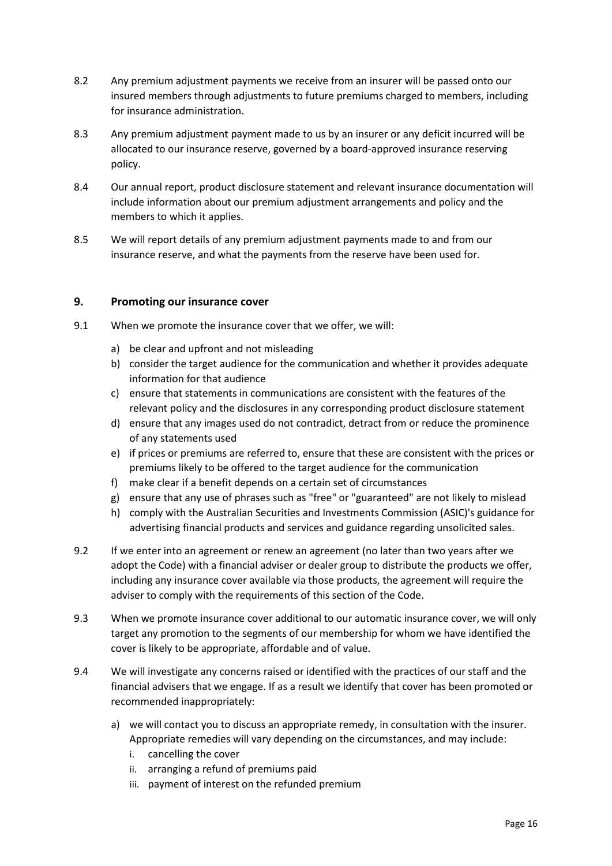- 8.2 Any premium adjustment payments we receive from an insurer will be passed onto our insured members through adjustments to future premiums charged to members, including for insurance administration.
- 8.3 Any premium adjustment payment made to us by an insurer or any deficit incurred will be allocated to our insurance reserve, governed by a board-approved insurance reserving policy.
- 8.4 Our annual report, product disclosure statement and relevant insurance documentation will include information about our premium adjustment arrangements and policy and the members to which it applies.
- 8.5 We will report details of any premium adjustment payments made to and from our insurance reserve, and what the payments from the reserve have been used for.

## <span id="page-15-0"></span>**9. Promoting our insurance cover**

- 9.1 When we promote the insurance cover that we offer, we will:
	- a) be clear and upfront and not misleading
	- b) consider the target audience for the communication and whether it provides adequate information for that audience
	- c) ensure that statements in communications are consistent with the features of the relevant policy and the disclosures in any corresponding product disclosure statement
	- d) ensure that any images used do not contradict, detract from or reduce the prominence of any statements used
	- e) if prices or premiums are referred to, ensure that these are consistent with the prices or premiums likely to be offered to the target audience for the communication
	- f) make clear if a benefit depends on a certain set of circumstances
	- g) ensure that any use of phrases such as "free" or "guaranteed" are not likely to mislead
	- h) comply with the Australian Securities and Investments Commission (ASIC)'s guidance for advertising financial products and services and guidance regarding unsolicited sales.
- 9.2 If we enter into an agreement or renew an agreement (no later than two years after we adopt the Code) with a financial adviser or dealer group to distribute the products we offer, including any insurance cover available via those products, the agreement will require the adviser to comply with the requirements of this section of the Code.
- 9.3 When we promote insurance cover additional to our automatic insurance cover, we will only target any promotion to the segments of our membership for whom we have identified the cover is likely to be appropriate, affordable and of value.
- 9.4 We will investigate any concerns raised or identified with the practices of our staff and the financial advisers that we engage. If as a result we identify that cover has been promoted or recommended inappropriately:
	- a) we will contact you to discuss an appropriate remedy, in consultation with the insurer. Appropriate remedies will vary depending on the circumstances, and may include:
		- i. cancelling the cover
		- ii. arranging a refund of premiums paid
		- iii. payment of interest on the refunded premium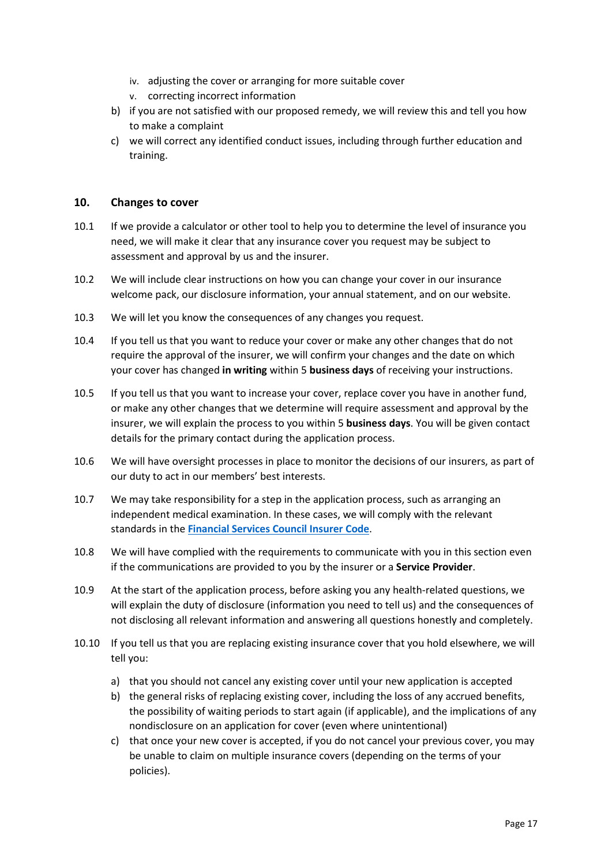- iv. adjusting the cover or arranging for more suitable cover
- v. correcting incorrect information
- b) if you are not satisfied with our proposed remedy, we will review this and tell you how to make a complaint
- c) we will correct any identified conduct issues, including through further education and training.

### <span id="page-16-0"></span>**10. Changes to cover**

- 10.1 If we provide a calculator or other tool to help you to determine the level of insurance you need, we will make it clear that any insurance cover you request may be subject to assessment and approval by us and the insurer.
- 10.2 We will include clear instructions on how you can change your cover in our insurance welcome pack, our disclosure information, your annual statement, and on our website.
- 10.3 We will let you know the consequences of any changes you request.
- 10.4 If you tell us that you want to reduce your cover or make any other changes that do not require the approval of the insurer, we will confirm your changes and the date on which your cover has changed **in writing** within 5 **business days** of receiving your instructions.
- 10.5 If you tell us that you want to increase your cover, replace cover you have in another fund, or make any other changes that we determine will require assessment and approval by the insurer, we will explain the process to you within 5 **business days**. You will be given contact details for the primary contact during the application process.
- 10.6 We will have oversight processes in place to monitor the decisions of our insurers, as part of our duty to act in our members' best interests.
- 10.7 We may take responsibility for a step in the application process, such as arranging an independent medical examination. In these cases, we will comply with the relevant standards in the **[Financial Services Council](https://www.fsc.org.au/policy/life-insurance/code-of-practice/life-code-of-practice) Insurer Code**.
- 10.8 We will have complied with the requirements to communicate with you in this section even if the communications are provided to you by the insurer or a **Service Provider**.
- 10.9 At the start of the application process, before asking you any health-related questions, we will explain the duty of disclosure (information you need to tell us) and the consequences of not disclosing all relevant information and answering all questions honestly and completely.
- 10.10 If you tell us that you are replacing existing insurance cover that you hold elsewhere, we will tell you:
	- a) that you should not cancel any existing cover until your new application is accepted
	- b) the general risks of replacing existing cover, including the loss of any accrued benefits, the possibility of waiting periods to start again (if applicable), and the implications of any nondisclosure on an application for cover (even where unintentional)
	- c) that once your new cover is accepted, if you do not cancel your previous cover, you may be unable to claim on multiple insurance covers (depending on the terms of your policies).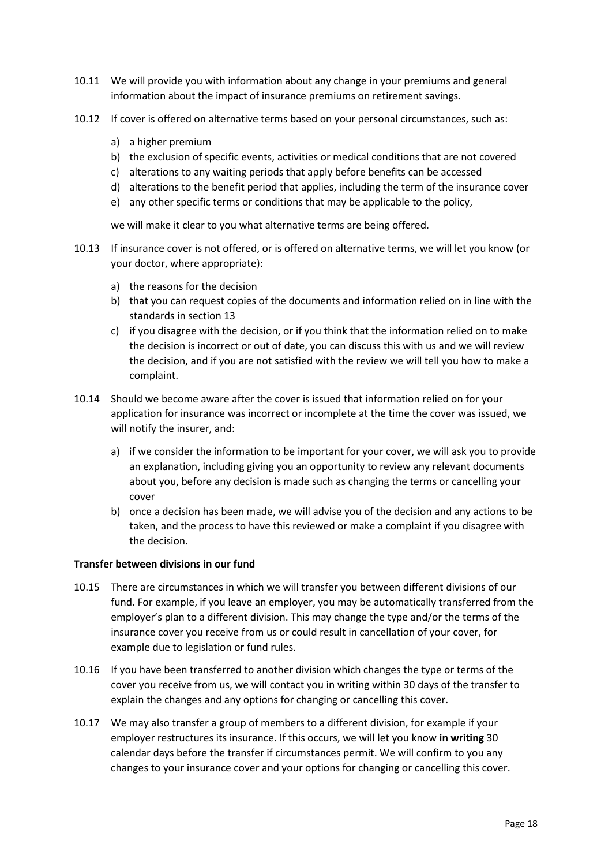- 10.11 We will provide you with information about any change in your premiums and general information about the impact of insurance premiums on retirement savings.
- 10.12 If cover is offered on alternative terms based on your personal circumstances, such as:
	- a) a higher premium
	- b) the exclusion of specific events, activities or medical conditions that are not covered
	- c) alterations to any waiting periods that apply before benefits can be accessed
	- d) alterations to the benefit period that applies, including the term of the insurance cover
	- e) any other specific terms or conditions that may be applicable to the policy,

we will make it clear to you what alternative terms are being offered.

- 10.13 If insurance cover is not offered, or is offered on alternative terms, we will let you know (or your doctor, where appropriate):
	- a) the reasons for the decision
	- b) that you can request copies of the documents and information relied on in line with the standards in section 13
	- c) if you disagree with the decision, or if you think that the information relied on to make the decision is incorrect or out of date, you can discuss this with us and we will review the decision, and if you are not satisfied with the review we will tell you how to make a complaint.
- 10.14 Should we become aware after the cover is issued that information relied on for your application for insurance was incorrect or incomplete at the time the cover was issued, we will notify the insurer, and:
	- a) if we consider the information to be important for your cover, we will ask you to provide an explanation, including giving you an opportunity to review any relevant documents about you, before any decision is made such as changing the terms or cancelling your cover
	- b) once a decision has been made, we will advise you of the decision and any actions to be taken, and the process to have this reviewed or make a complaint if you disagree with the decision.

### **Transfer between divisions in our fund**

- 10.15 There are circumstances in which we will transfer you between different divisions of our fund. For example, if you leave an employer, you may be automatically transferred from the employer's plan to a different division. This may change the type and/or the terms of the insurance cover you receive from us or could result in cancellation of your cover, for example due to legislation or fund rules.
- 10.16 If you have been transferred to another division which changes the type or terms of the cover you receive from us, we will contact you in writing within 30 days of the transfer to explain the changes and any options for changing or cancelling this cover.
- 10.17 We may also transfer a group of members to a different division, for example if your employer restructures its insurance. If this occurs, we will let you know **in writing** 30 calendar days before the transfer if circumstances permit. We will confirm to you any changes to your insurance cover and your options for changing or cancelling this cover.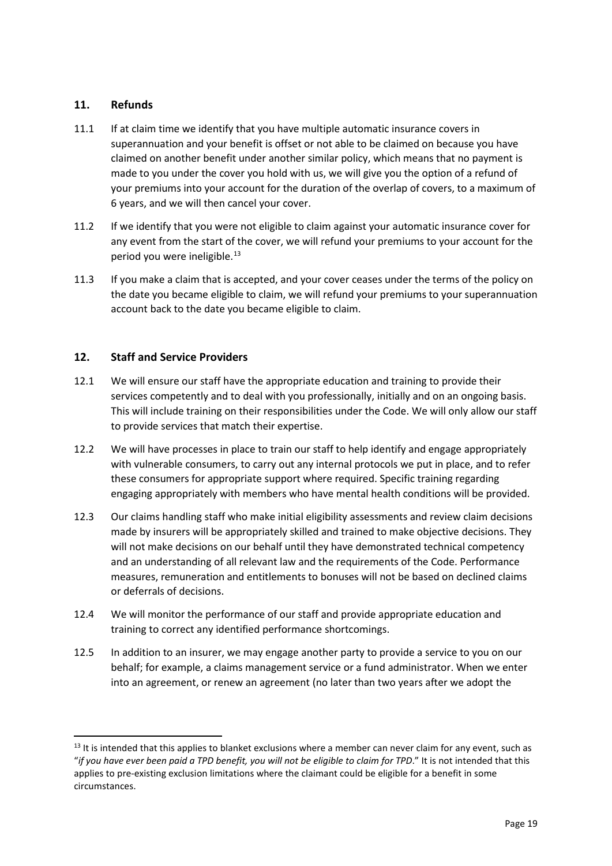# <span id="page-18-0"></span>**11. Refunds**

- 11.1 If at claim time we identify that you have multiple automatic insurance covers in superannuation and your benefit is offset or not able to be claimed on because you have claimed on another benefit under another similar policy, which means that no payment is made to you under the cover you hold with us, we will give you the option of a refund of your premiums into your account for the duration of the overlap of covers, to a maximum of 6 years, and we will then cancel your cover.
- 11.2 If we identify that you were not eligible to claim against your automatic insurance cover for any event from the start of the cover, we will refund your premiums to your account for the period you were ineligible.<sup>[13](#page-18-2)</sup>
- 11.3 If you make a claim that is accepted, and your cover ceases under the terms of the policy on the date you became eligible to claim, we will refund your premiums to your superannuation account back to the date you became eligible to claim.

# <span id="page-18-1"></span>**12. Staff and Service Providers**

- 12.1 We will ensure our staff have the appropriate education and training to provide their services competently and to deal with you professionally, initially and on an ongoing basis. This will include training on their responsibilities under the Code. We will only allow our staff to provide services that match their expertise.
- 12.2 We will have processes in place to train our staff to help identify and engage appropriately with vulnerable consumers, to carry out any internal protocols we put in place, and to refer these consumers for appropriate support where required. Specific training regarding engaging appropriately with members who have mental health conditions will be provided.
- 12.3 Our claims handling staff who make initial eligibility assessments and review claim decisions made by insurers will be appropriately skilled and trained to make objective decisions. They will not make decisions on our behalf until they have demonstrated technical competency and an understanding of all relevant law and the requirements of the Code. Performance measures, remuneration and entitlements to bonuses will not be based on declined claims or deferrals of decisions.
- 12.4 We will monitor the performance of our staff and provide appropriate education and training to correct any identified performance shortcomings.
- 12.5 In addition to an insurer, we may engage another party to provide a service to you on our behalf; for example, a claims management service or a fund administrator. When we enter into an agreement, or renew an agreement (no later than two years after we adopt the

<span id="page-18-2"></span> $13$  It is intended that this applies to blanket exclusions where a member can never claim for any event, such as "*if you have ever been paid a TPD benefit, you will not be eligible to claim for TPD*." It is not intended that this applies to pre-existing exclusion limitations where the claimant could be eligible for a benefit in some circumstances.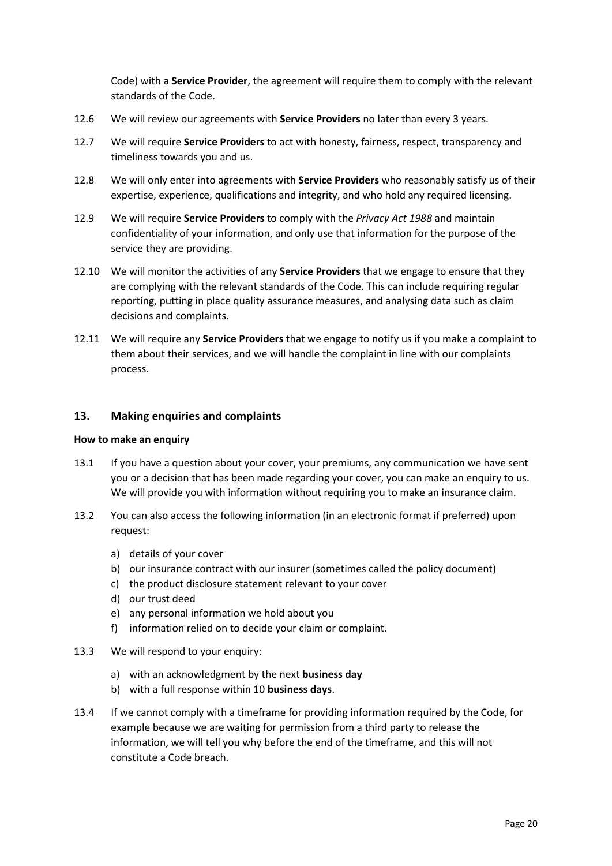Code) with a **Service Provider**, the agreement will require them to comply with the relevant standards of the Code.

- 12.6 We will review our agreements with **Service Providers** no later than every 3 years.
- 12.7 We will require **Service Providers** to act with honesty, fairness, respect, transparency and timeliness towards you and us.
- 12.8 We will only enter into agreements with **Service Providers** who reasonably satisfy us of their expertise, experience, qualifications and integrity, and who hold any required licensing.
- 12.9 We will require **Service Providers** to comply with the *Privacy Act 1988* and maintain confidentiality of your information, and only use that information for the purpose of the service they are providing.
- 12.10 We will monitor the activities of any **Service Providers** that we engage to ensure that they are complying with the relevant standards of the Code. This can include requiring regular reporting, putting in place quality assurance measures, and analysing data such as claim decisions and complaints.
- 12.11 We will require any **Service Providers** that we engage to notify us if you make a complaint to them about their services, and we will handle the complaint in line with our complaints process.

## <span id="page-19-0"></span>**13. Making enquiries and complaints**

#### **How to make an enquiry**

- 13.1 If you have a question about your cover, your premiums, any communication we have sent you or a decision that has been made regarding your cover, you can make an enquiry to us. We will provide you with information without requiring you to make an insurance claim.
- 13.2 You can also access the following information (in an electronic format if preferred) upon request:
	- a) details of your cover
	- b) our insurance contract with our insurer (sometimes called the policy document)
	- c) the product disclosure statement relevant to your cover
	- d) our trust deed
	- e) any personal information we hold about you
	- f) information relied on to decide your claim or complaint.
- 13.3 We will respond to your enquiry:
	- a) with an acknowledgment by the next **business day**
	- b) with a full response within 10 **business days**.
- 13.4 If we cannot comply with a timeframe for providing information required by the Code, for example because we are waiting for permission from a third party to release the information, we will tell you why before the end of the timeframe, and this will not constitute a Code breach.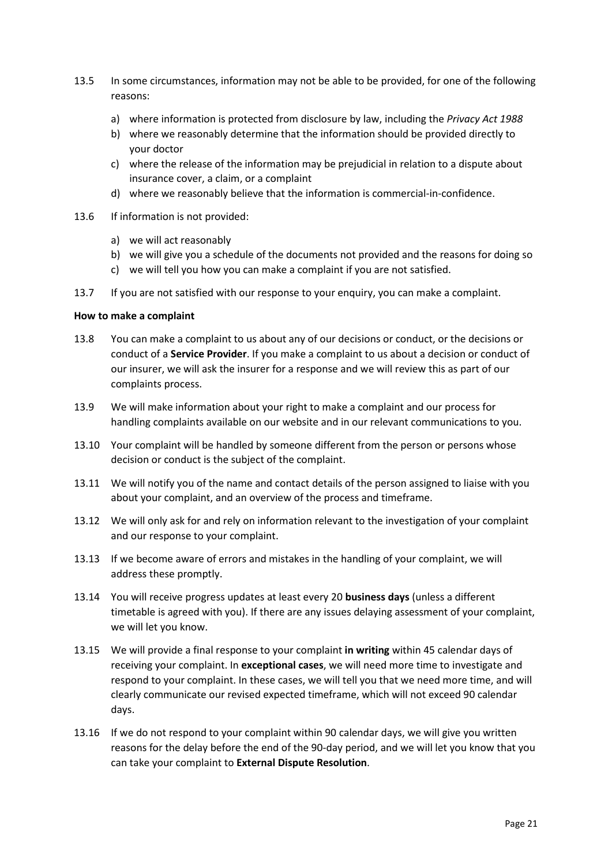- 13.5 In some circumstances, information may not be able to be provided, for one of the following reasons:
	- a) where information is protected from disclosure by law, including the *Privacy Act 1988*
	- b) where we reasonably determine that the information should be provided directly to your doctor
	- c) where the release of the information may be prejudicial in relation to a dispute about insurance cover, a claim, or a complaint
	- d) where we reasonably believe that the information is commercial-in-confidence.
- 13.6 If information is not provided:
	- a) we will act reasonably
	- b) we will give you a schedule of the documents not provided and the reasons for doing so
	- c) we will tell you how you can make a complaint if you are not satisfied.
- 13.7 If you are not satisfied with our response to your enquiry, you can make a complaint.

#### **How to make a complaint**

- 13.8 You can make a complaint to us about any of our decisions or conduct, or the decisions or conduct of a **Service Provider**. If you make a complaint to us about a decision or conduct of our insurer, we will ask the insurer for a response and we will review this as part of our complaints process.
- 13.9 We will make information about your right to make a complaint and our process for handling complaints available on our website and in our relevant communications to you.
- 13.10 Your complaint will be handled by someone different from the person or persons whose decision or conduct is the subject of the complaint.
- 13.11 We will notify you of the name and contact details of the person assigned to liaise with you about your complaint, and an overview of the process and timeframe.
- 13.12 We will only ask for and rely on information relevant to the investigation of your complaint and our response to your complaint.
- 13.13 If we become aware of errors and mistakes in the handling of your complaint, we will address these promptly.
- 13.14 You will receive progress updates at least every 20 **business days** (unless a different timetable is agreed with you). If there are any issues delaying assessment of your complaint, we will let you know.
- 13.15 We will provide a final response to your complaint **in writing** within 45 calendar days of receiving your complaint. In **exceptional cases**, we will need more time to investigate and respond to your complaint. In these cases, we will tell you that we need more time, and will clearly communicate our revised expected timeframe, which will not exceed 90 calendar days.
- 13.16 If we do not respond to your complaint within 90 calendar days, we will give you written reasons for the delay before the end of the 90-day period, and we will let you know that you can take your complaint to **External Dispute Resolution**.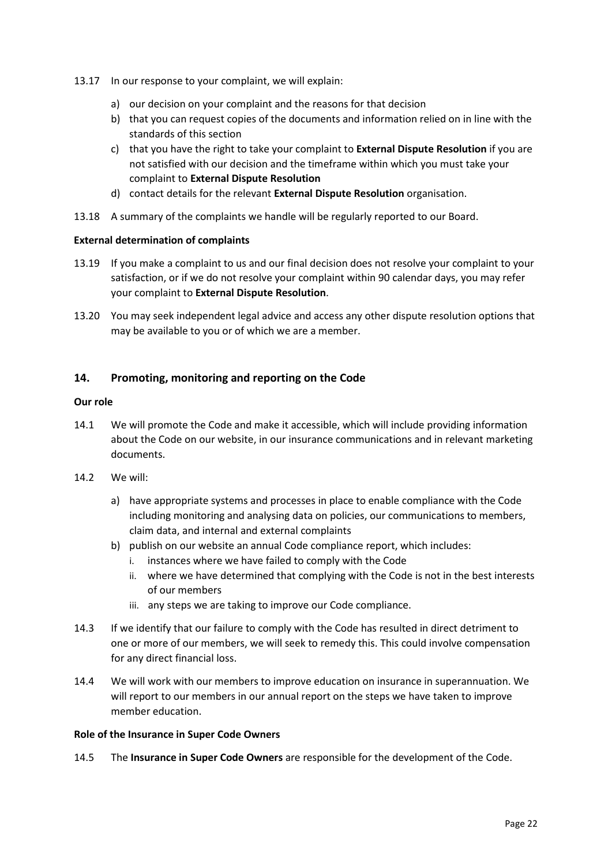- 13.17 In our response to your complaint, we will explain:
	- a) our decision on your complaint and the reasons for that decision
	- b) that you can request copies of the documents and information relied on in line with the standards of this section
	- c) that you have the right to take your complaint to **External Dispute Resolution** if you are not satisfied with our decision and the timeframe within which you must take your complaint to **External Dispute Resolution**
	- d) contact details for the relevant **External Dispute Resolution** organisation.
- 13.18 A summary of the complaints we handle will be regularly reported to our Board.

## **External determination of complaints**

- 13.19 If you make a complaint to us and our final decision does not resolve your complaint to your satisfaction, or if we do not resolve your complaint within 90 calendar days, you may refer your complaint to **External Dispute Resolution**.
- 13.20 You may seek independent legal advice and access any other dispute resolution options that may be available to you or of which we are a member.

# <span id="page-21-0"></span>**14. Promoting, monitoring and reporting on the Code**

### **Our role**

- 14.1 We will promote the Code and make it accessible, which will include providing information about the Code on our website, in our insurance communications and in relevant marketing documents.
- 14.2 We will:
	- a) have appropriate systems and processes in place to enable compliance with the Code including monitoring and analysing data on policies, our communications to members, claim data, and internal and external complaints
	- b) publish on our website an annual Code compliance report, which includes:
		- i. instances where we have failed to comply with the Code
		- ii. where we have determined that complying with the Code is not in the best interests of our members
		- iii. any steps we are taking to improve our Code compliance.
- 14.3 If we identify that our failure to comply with the Code has resulted in direct detriment to one or more of our members, we will seek to remedy this. This could involve compensation for any direct financial loss.
- 14.4 We will work with our members to improve education on insurance in superannuation. We will report to our members in our annual report on the steps we have taken to improve member education.

### **Role of the Insurance in Super Code Owners**

14.5 The **Insurance in Super Code Owners** are responsible for the development of the Code.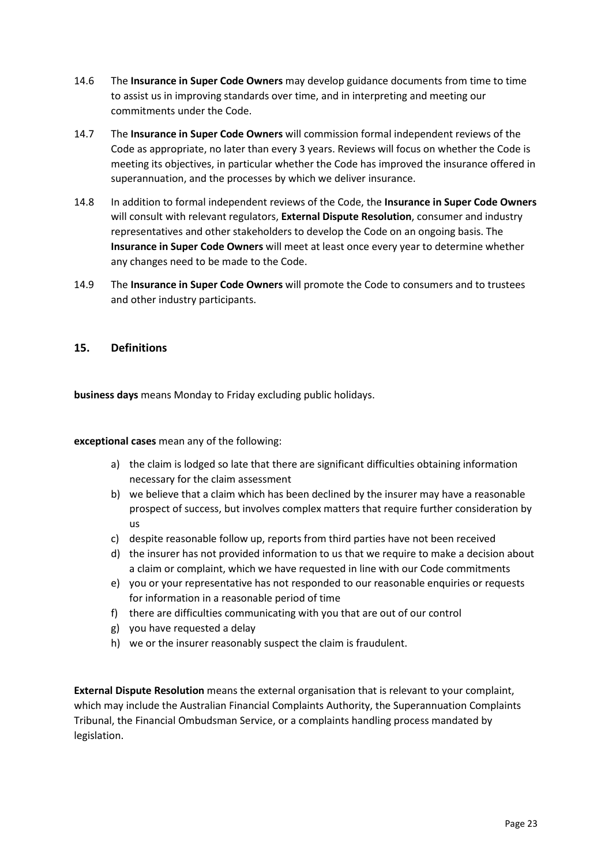- 14.6 The **Insurance in Super Code Owners** may develop guidance documents from time to time to assist us in improving standards over time, and in interpreting and meeting our commitments under the Code.
- 14.7 The **Insurance in Super Code Owners** will commission formal independent reviews of the Code as appropriate, no later than every 3 years. Reviews will focus on whether the Code is meeting its objectives, in particular whether the Code has improved the insurance offered in superannuation, and the processes by which we deliver insurance.
- 14.8 In addition to formal independent reviews of the Code, the **Insurance in Super Code Owners** will consult with relevant regulators, **External Dispute Resolution**, consumer and industry representatives and other stakeholders to develop the Code on an ongoing basis. The **Insurance in Super Code Owners** will meet at least once every year to determine whether any changes need to be made to the Code.
- 14.9 The **Insurance in Super Code Owners** will promote the Code to consumers and to trustees and other industry participants.

## <span id="page-22-0"></span>**15. Definitions**

**business days** means Monday to Friday excluding public holidays.

**exceptional cases** mean any of the following:

- a) the claim is lodged so late that there are significant difficulties obtaining information necessary for the claim assessment
- b) we believe that a claim which has been declined by the insurer may have a reasonable prospect of success, but involves complex matters that require further consideration by us
- c) despite reasonable follow up, reports from third parties have not been received
- d) the insurer has not provided information to us that we require to make a decision about a claim or complaint, which we have requested in line with our Code commitments
- e) you or your representative has not responded to our reasonable enquiries or requests for information in a reasonable period of time
- f) there are difficulties communicating with you that are out of our control
- g) you have requested a delay
- h) we or the insurer reasonably suspect the claim is fraudulent.

**External Dispute Resolution** means the external organisation that is relevant to your complaint, which may include the Australian Financial Complaints Authority, the Superannuation Complaints Tribunal, the Financial Ombudsman Service, or a complaints handling process mandated by legislation.